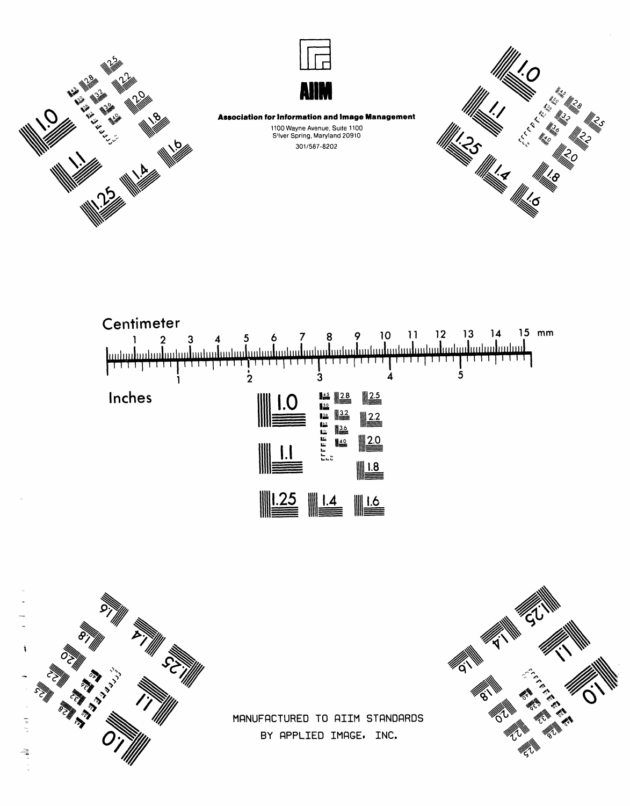



**Association for Information and Image Management** 1100 Wayne Avenue, Suite 1100<br>S'Iver Spring, Maryland 20910

301/587-8202







MANUFACTURED TO AIIM STANDARDS BY APPLIED IMAGE, INC.

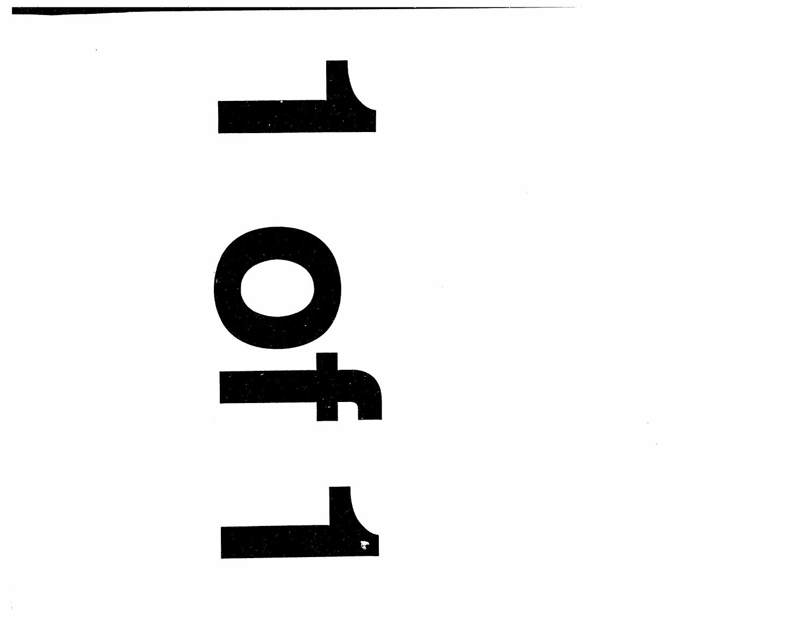

 $\sim$ 





 $\mathcal{L}_{\text{max}}$  and  $\mathcal{L}_{\text{max}}$  . The  $\mathcal{L}_{\text{max}}$ 

 $\mathcal{L}^{\mathcal{L}}(\mathcal{L}^{\mathcal{L}})$  and  $\mathcal{L}^{\mathcal{L}}(\mathcal{L}^{\mathcal{L}})$  . The contribution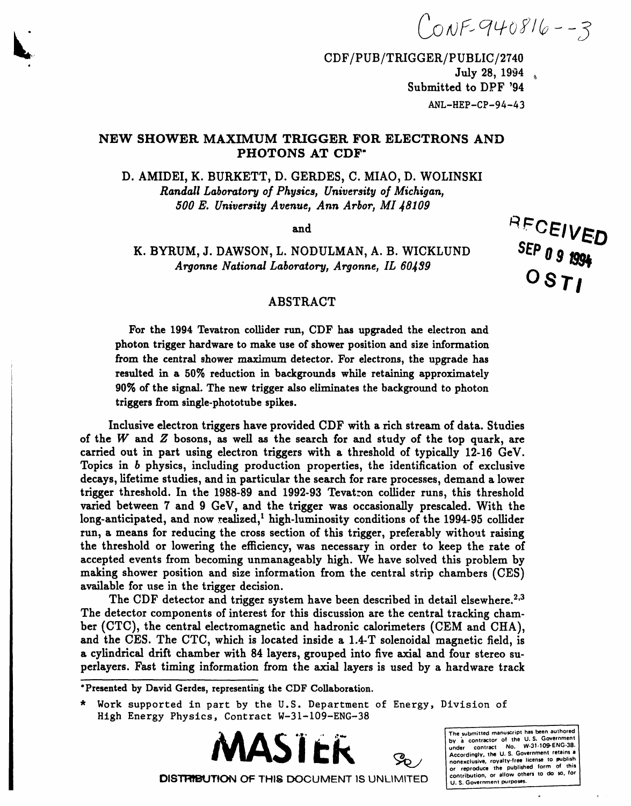$(0.005940816 - 3)$ 

RECEIVED

SEP 0 9 1994

CDF/PUB/TRIGGER/PUBLIC/2740 July 28, 1994  $\overline{a}$ Submitted to DPF '94  $ANL-HEP-CP-94-43$ 

# NEW SHOWER MAXIMUM TRIGGER FOR ELECTRONS AND PHOTONS AT CDF\*

D. AMIDEI, K. BURKETT, D. GERDES, C. MIAO, D. WOLINSKI Randall Laboratory of Physics, University of Michigan, 500 E. University Avenue, Ann Arbor, MI 48109

and

K. BYRUM, J. DAWSON, L. NODULMAN, A. B. WICKLUND Argonne National Laboratory, Argonne, IL 60439

## **ABSTRACT**

For the 1994 Tevatron collider run, CDF has upgraded the electron and photon trigger hardware to make use of shower position and size information from the central shower maximum detector. For electrons, the upgrade has resulted in a 50% reduction in backgrounds while retaining approximately 90% of the signal. The new trigger also eliminates the background to photon triggers from single-phototube spikes.

Inclusive electron triggers have provided CDF with a rich stream of data. Studies of the  $W$  and  $Z$  bosons, as well as the search for and study of the top quark, are carried out in part using electron triggers with a threshold of typically 12-16 GeV. Topics in b physics, including production properties, the identification of exclusive decays, lifetime studies, and in particular the search for rare processes, demand a lower trigger threshold. In the 1988-89 and 1992-93 Tevatron collider runs, this threshold varied between 7 and 9 GeV, and the trigger was occasionally prescaled. With the long-anticipated, and now realized,<sup>1</sup> high-luminosity conditions of the 1994-95 collider run, a means for reducing the cross section of this trigger, preferably without raising the threshold or lowering the efficiency, was necessary in order to keep the rate of accepted events from becoming unmanageably high. We have solved this problem by making shower position and size information from the central strip chambers (CES) available for use in the trigger decision.

The CDF detector and trigger system have been described in detail elsewhere.<sup>2,3</sup> The detector components of interest for this discussion are the central tracking chamber (CTC), the central electromagnetic and hadronic calorimeters (CEM and CHA), and the CES. The CTC, which is located inside a 1.4-T solenoidal magnetic field, is a cylindrical drift chamber with 84 layers, grouped into five axial and four stereo superlayers. Fast timing information from the axial layers is used by a hardware track

\*Presented by David Gerdes, representing the CDF Collaboration.

The submitted manuscript has been authored the contractor of the U.S. Government<br>under contract No. W-31-109-ENG-38.<br>Accordingly, the U.S. Government retains a<br>Accordingly, the U.S. Government retains a<br>nonexclusive sounds:  $\frac{1}{2}$ nonexclusive, royalty-free license to publish contribution, or allow others to do so, for U. S. Government purposes.

DISTRIBUTION OF THIS DOCUMENT IS UNLIMITED

<sup>\*</sup> Work supported in part by the U.S. Department of Energy, Division of High Energy Physics, Contract W-31-109-ENG-38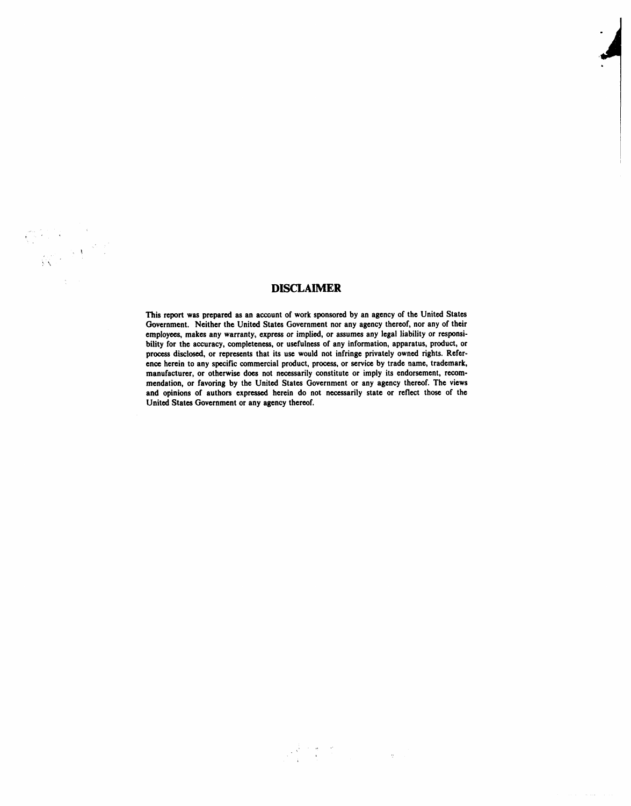### **DISCLAIMER**

This report was prepared **as an account of work sponsored by an agency of the Unit**ed **States** *G***overnment. Neither the Unit**ed **States Gov**e**rnmentnor any agency thereof, nor any of their** employees, makes any warranty, express or implied, or assumes any legal liability or responsibility for the accuracy, completeness, or usefulness of any information, apparatus, product, or **process disclosed, or representsthat its u**se **would not infring**e **privat**e**ly own**ed **rights. R**e**f**e**rence her**e**in to any specific** co**mm**e**rcial pr**od**uct, process, or service by trade name, trade**m**ark, manufacturer, or otherwi**se **does not necessa**ri**ly** co**nstitute or imply its endor**se**ment, recom-** *,* **mendation, or fav***o***ring by the Unit**ed **States Government or any agency th**e**r**eo**f. Th**e **views and opinions of authors expressed herein do not nece**ss**arily state or reflect tho**se **of the Unit**ed **Stat**es **Gov**e**rnment or any agen**c**y th**e**reof.**

 $\mathcal{F} \in \mathcal{G}$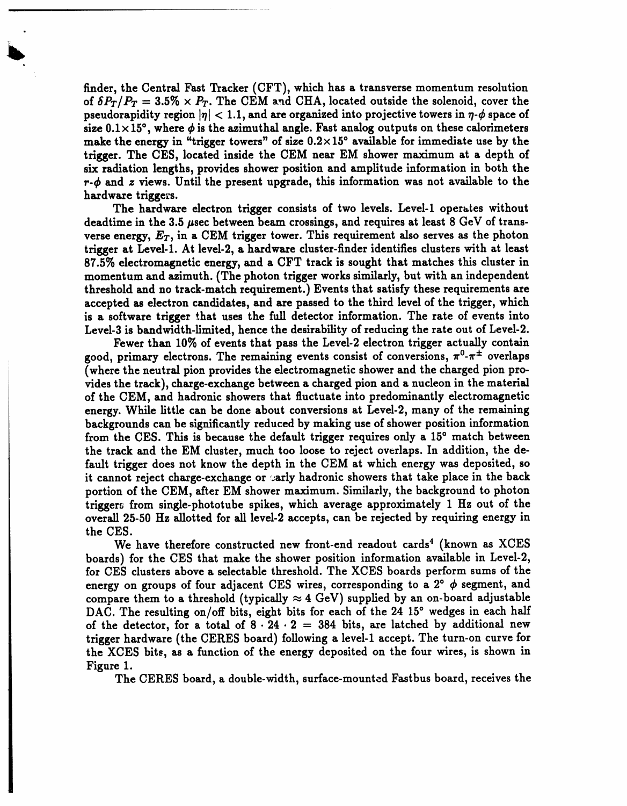**find**e**r, th**e **Central Fast Tracke**r **(CFT), which has a t**r**ansverse momentum resolution of**  $\delta P_T/P_T = 3.5\% \times P_T$ . The CEM and CHA, located outside the solenoid, cover the **pseudorapidity region**  $|\eta| < 1.1$ , and are organized into projective towers in  $\eta$ - $\phi$  space of  $\sinh(0.1 \times 15^{\circ})$ , where  $\phi$  is the azimuthal angle. Fast analog outputs on these calorimeters m**a**k**e the energy in "t**ri**gger towers**" **of size 0.2**× **15° available for i**mm**ediate use by the trigger. The CES, located inside the CEM ne**ar **E***M* **shower** m**axi**m**u**m **at a depth of six radi**a**tion lengths, p**r**ovides shower position and amplitude information in both the**  $r$ **-** $\phi$  and *z* views. Until the present upgrade, this information was not available to the **h**ar**dwa**r**e t**r**igge**r**s.**

**The h**ar**dw**ar**e e**l**ectron t**ri**gger consists of two levels. Level-1 oper**a**tes without** deadtime in the 3.5  $\mu$ sec between beam crossings, and requires at least 8 GeV of trans**verse ene**r**gy,** *ET***, in** a **CEM t**ri**gger tower. T**hi**s** r**eq**uir**e**m**ent** al**so serves as the photon t**rigg**er** a**t Level-1. At lev**el**-2,** a **h**ar**dw**ar**e cluster-finder identifies clusters with at least 87.5**% **electromagnetic energy, and** a **CFT track is sought that** ma**t**ch**es t**h**is** d**uster in momentum and azi**m**uth. (The photon t**ri**gge**r **works simil**ar**ly, but** wi**t**h **an independent threshold and no track-match require**m**ent.) Events that satisfy these** r**equire**m**ents** ar**e** accepted as electron candidates, and are passed to the third level of the trigger, which **is** a **softw**ar**e t**ri**gge**r \_**hat uses the full detector information. The rate of events into Level-3 is b**an**d**wi**dth-limited, hence the des**i**rability of reducing the rate out of Level-2.**

**Fewer th**an **10**% **of events that p**as**s the Leve**l**-2 electron t**ri**gge**r **actually contain good,** primary electrons. The remaining events consist of conversions,  $\pi^0$ - $\pi^{\pm}$  overlaps **(where the neutr**al **pion pro**vi**des the e**l**ect**r**o**m**agneti**c **shower and the cha**r**ged pion p**r**o**vi**des the track),** char**ge-exchange between** a **charged pion** an**d a nucleon in the** m**ate**rial **of the CEM,** an**d** h**adronic showers that fluctuate into predo**mi**n**an**tly electro**ma**gnetic energy. While litt**l**e can** b**e done about conversions** a**t Level-2, many of the** r**e**mai**ning backgrounds c**an **be signific**an**tly reduced by** m**aking use of shower position information fro**m **the CES. T**hi**s is because the default trigger req**uir**es only a 15° match between the track** an**d the EM cluster, much too loose to reject overlaps. In ad**di**t**i**on, the defa**ul**t t**ri**gge**r **does not know the depth in the CEM at w**hi**ch energy was deposited, so it cannot** r**eject ch**ar**ge-exchange or** \_.*'*arl**y hadronic showers that take place in the back portion of the CEM, after EM shower** m**axi**m**u**m**. Si**m**i**l**arly, the background to photon trigger**\_ fr**o**m **single-phototube spikes, w**hich **average** a**pp**r**oxi**m**ately 1 Hz out of the overa**l**l 25-50 Hz allotted for all level-2 acce***p***ts, can** b**e rejected** b**y requ**iri**ng energy in the CES.**

**We have therefore constructed new f**r**ont-end readout** ca**r**d**s 4** (known as XCES boar**ds) for the CES that make the shower position information available in Level-2, fo**r **CES clusters above a s**el**ect**a**ble threshold. T**h**e XCES boards** p**erfor**m **su**m**s of the energy** on groups of four adjacent CES wires, corresponding to a  $2^{\circ}$   $\phi$  segment, and compare them to a threshold (typically  $\approx$  4 GeV) supplied by an on-board adjustable DAC. The resulting on/off bits, eight bits for each of the 24 15° wedges in each half **of the detector, for a tot**al **of 8.24 • 2** : **384 bits, are latched by ad**di**tion**al **new trigger hardware (the CE**R**ES board) follo**wi**ng a level-1 accept. The turn**-**on curve for** the XCES bits, as a function of the energy deposited on the four wires, is shown in **Figu**r**e 1.**

**The CE**R**ES** b**oa**r**d, a dou**b**le-**wi**dt**h**, surface-mount**e**d Fast**b**u**s b**oa**r**d, r**e**ceiv**e**s t**he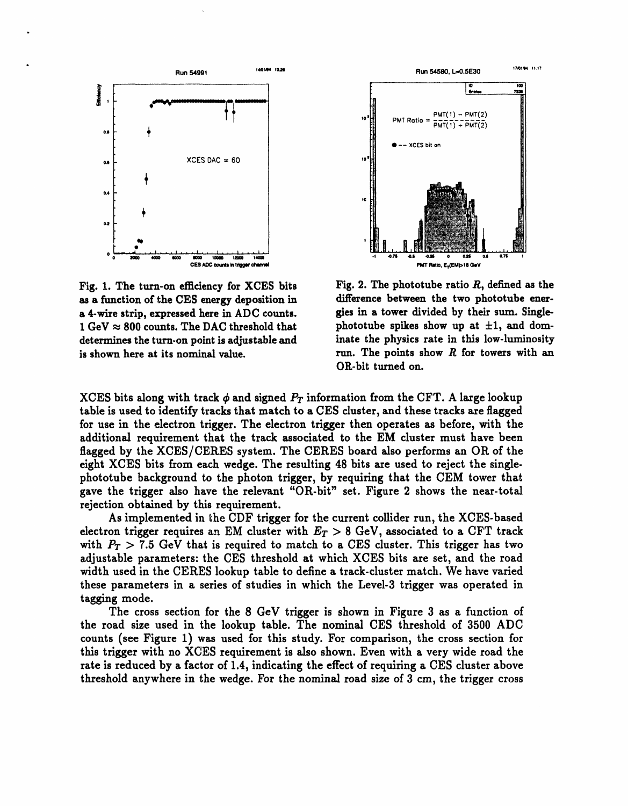

Fig. 1. The turn-on efficiency for XCES bits as a function of the CES energy deposition in a 4-wire strip, expressed here in ADC counts. 1 GeV  $\approx$  800 counts. The DAC threshold that determines the turn-on point is adjustable and is shown here at its nominal value.



Fig. 2. The phototube ratio  $R$ , defined as the difference between the two phototube energies in a tower divided by their sum. Singlephototube spikes show up at  $\pm 1$ , and dominate the physics rate in this low-luminosity run. The points show  $R$  for towers with an OR-bit turned on.

XCES bits along with track  $\phi$  and signed  $P_T$  information from the CFT. A large lookup table is used to identify tracks that match to a CES cluster, and these tracks are flagged for use in the electron trigger. The electron trigger then operates as before, with the additional requirement that the track associated to the EM cluster must have been flagged by the XCES/CERES system. The CERES board also performs an OR of the eight XCES bits from each wedge. The resulting 48 bits are used to reject the singlephototube background to the photon trigger, by requiring that the CEM tower that gave the trigger also have the relevant "OR-bit" set. Figure 2 shows the near-total rejection obtained by this requirement.

As implemented in the CDF trigger for the current collider run, the XCES-based electron trigger requires an EM cluster with  $E_T > 8$  GeV, associated to a CFT track with  $P_T > 7.5$  GeV that is required to match to a CES cluster. This trigger has two adjustable parameters: the CES threshold at which XCES bits are set, and the road width used in the CERES lookup table to define a track-cluster match. We have varied these parameters in a series of studies in which the Level-3 trigger was operated in tagging mode.

The cross section for the 8 GeV trigger is shown in Figure 3 as a function of the road size used in the lookup table. The nominal CES threshold of 3500 ADC counts (see Figure 1) was used for this study. For comparison, the cross section for this trigger with no XCES requirement is also shown. Even with a very wide road the rate is reduced by a factor of 1.4, indicating the effect of requiring a CES cluster above threshold anywhere in the wedge. For the nominal road size of 3 cm, the trigger cross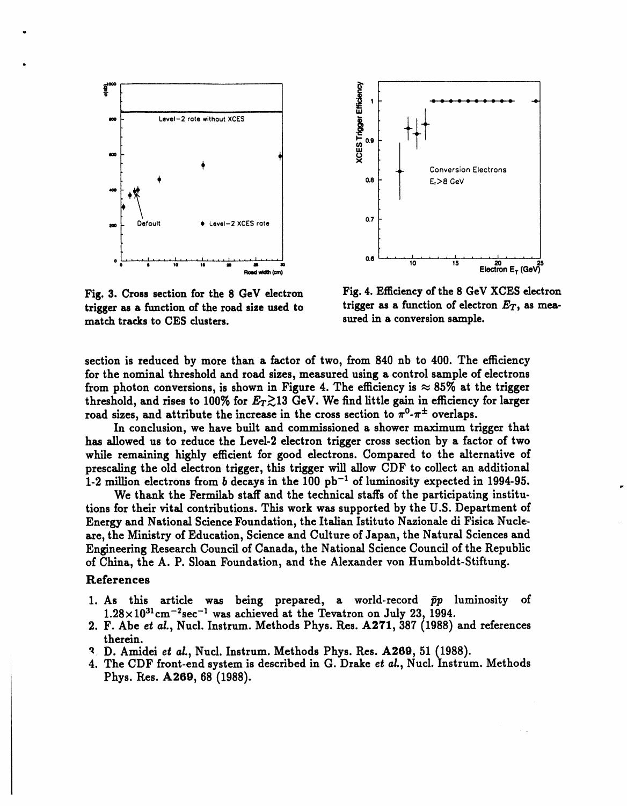

o



trigger as a function of the road size used to trigger as a function of electr<br>match tracks to CES clusters. sured in a conversion sample. **match tracks** to CES clusters.

Fig. 3. Cross section for the 8 GeV electron Fig. 4. Efficiency of the 8 GeV XCES electron<br>trigger as a function of the road size used to trigger as a function of electron  $E_T$ , as mea-

**section** i**s reduced** b**y mo**r**e than a factor of two**, **from 840 n**b **to 4**00**. The e**ffci**ency** for the nominal threshold and road sizes, measured using a control sample of electrons from photon conversions, is shown in Figure 4. The efficiency is  $\approx 85\%$  at the trigger threshold, and rises to 100% for  $E_T \gtrsim 13$  GeV. We find little gain in efficiency for larger road sizes, and attribute the increase in the cross section to  $\pi^0$ - $\pi^{\pm}$  overlaps.

**In conclusion, we** h**ave built an**d **commissione**d **a shower maximum** t**ri**gg**e**r **that** h**as allowed us to** r**e**d**uce** t**he Level-2 electron t**ri**gger** *c***ross section by** a **factor of two wh**il**e rem**ai**nin**g hig**hly e**ff**c**i**en**t f**or** g**oo**d **elect**r**ons. Compare**d t**o the** alt**erna**ti**ve o**f **p**r**esca**ti**n**g **the old electron** t**ri**gg**er,** t**his t**rigg**er wi**ll **allow** C*D***F** to collect an ad**di**ti**on**al **1-2 mi**ll**ion electrons** fr**om** b d**ecays** i**n** th**e 100 p**b **-I o**f **luminos**i**ty expec**t**e**d **in 1994-95.**

**We t**h**a**nk **t**h**e Fermilab staff and t**h**e tec**hni**c**al **staf[s of t**h**e** p**artic**i**patin**g **i**n**stitutions** f**o**r **their vit**al **cont**rib**utions. T**hi**s work w**as **suppo**r**te**d b**y the U.S.** D**ep**ar**tment o**f **Ene**r**gy and Nation**al **Science Foundation, the Italian Ist**i**tuto Na***z***ion**al**e** di **Fisica Nu**dear**e,** the **Mi**ni**stry o**f **Education, Science** an**d Culture o**f **Japan, the Na**t**ur**al **S**c**iences and Engine**er**ing** Re**searc**h **Coun**cil **of Canada, t**h**e Nat**i**on**al **S**c**ience Council of the** Re**pu**b**lic o**f **C**hi**na**, th**e A**. **P. Sloan Foundation, and the Alexander yon Hum**b**old**t**-S**tlft**un**g**.**

### **References**

- **1. As t**hi**s article was being prepared, a world-rec**o**rd i**\_p **luminosity** o**f**  $1.28 \times 10^{31}$  cm<sup>-2</sup>sec<sup>-1</sup> was achieved at the Tevatron on July 23, 1994.
- **2. F. Abe e**t a*L***, Nucl. Instrum.** M**ethods Phys. B**.**es. A271, 38***7* (**1988**) **and references therein.**
- *'*\_ **D. A**mi**de**i **e**\_ a*L***, Nucl. Instrum. Methods Phys. lles. A269, 51** (**1988**)**.**
- **4. The CDF** fr**ont-end system is desc**ri**bed in G. Drake e**t a*i***., Nucl. Instrum.** *M***ethods Phys. P**\_**es. A269, 68** (**1988**)**.**